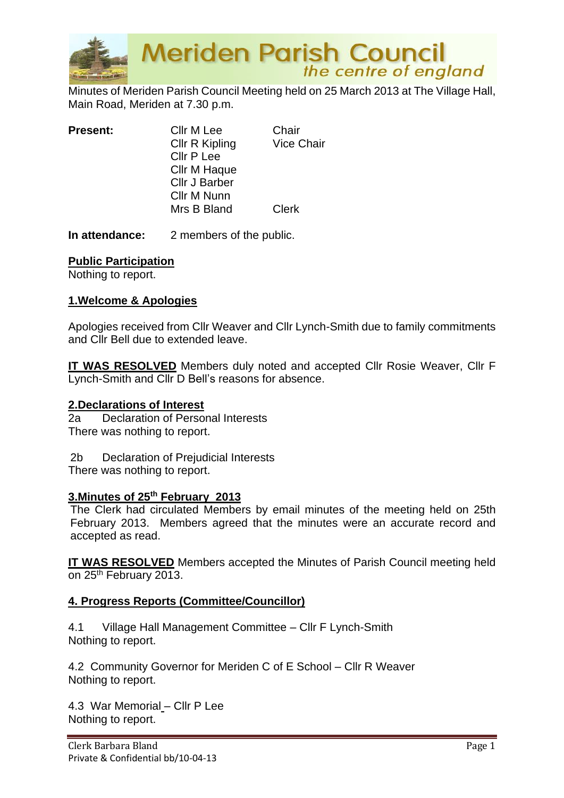

Minutes of Meriden Parish Council Meeting held on 25 March 2013 at The Village Hall, Main Road, Meriden at 7.30 p.m.

| <b>Present:</b> | Cllr M Lee<br>Cllr R Kipling<br>Cllr P Lee<br>Cllr M Haque<br>Cllr J Barber | Chair<br><b>Vice Chair</b> |
|-----------------|-----------------------------------------------------------------------------|----------------------------|
|                 | Cllr M Nunn                                                                 |                            |
|                 | Mrs B Bland                                                                 | Clerk                      |

**In attendance:** 2 members of the public.

#### **Public Participation**

Nothing to report.

#### **1.Welcome & Apologies**

Apologies received from Cllr Weaver and Cllr Lynch-Smith due to family commitments and Cllr Bell due to extended leave.

**IT WAS RESOLVED** Members duly noted and accepted Cllr Rosie Weaver, Cllr F Lynch-Smith and Cllr D Bell's reasons for absence.

#### **2.Declarations of Interest**

2a Declaration of Personal Interests There was nothing to report.

2b Declaration of Prejudicial Interests There was nothing to report.

#### **3.Minutes of 25th February 2013**

The Clerk had circulated Members by email minutes of the meeting held on 25th February 2013. Members agreed that the minutes were an accurate record and accepted as read.

**IT WAS RESOLVED** Members accepted the Minutes of Parish Council meeting held on 25<sup>th</sup> February 2013.

#### **4. Progress Reports (Committee/Councillor)**

4.1 Village Hall Management Committee – Cllr F Lynch-Smith Nothing to report.

4.2 Community Governor for Meriden C of E School – Cllr R Weaver Nothing to report.

4.3 War Memorial – Cllr P Lee Nothing to report.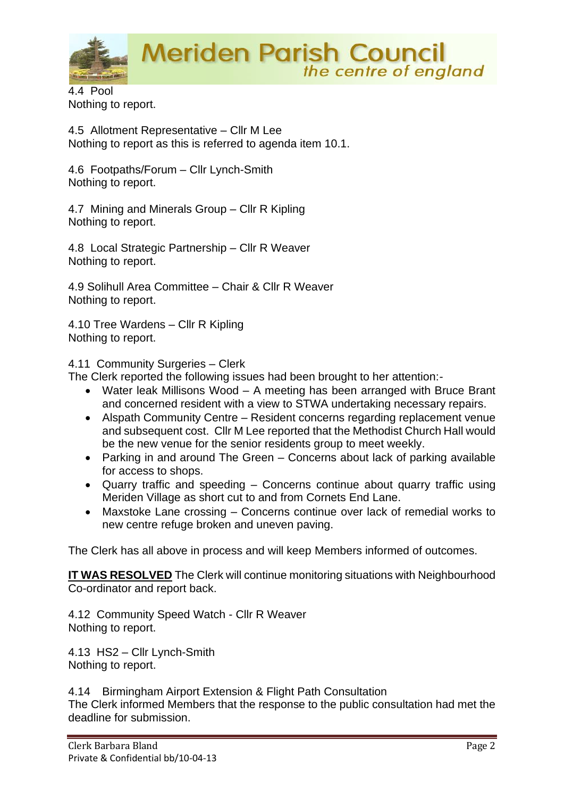

4.4 Pool Nothing to report.

4.5 Allotment Representative – Cllr M Lee Nothing to report as this is referred to agenda item 10.1.

4.6 Footpaths/Forum – Cllr Lynch-Smith Nothing to report.

4.7 Mining and Minerals Group – Cllr R Kipling Nothing to report.

4.8 Local Strategic Partnership – Cllr R Weaver Nothing to report.

4.9 Solihull Area Committee – Chair & Cllr R Weaver Nothing to report.

4.10 Tree Wardens – Cllr R Kipling Nothing to report.

4.11 Community Surgeries – Clerk

The Clerk reported the following issues had been brought to her attention:-

- Water leak Millisons Wood A meeting has been arranged with Bruce Brant and concerned resident with a view to STWA undertaking necessary repairs.
- Alspath Community Centre Resident concerns regarding replacement venue and subsequent cost. Cllr M Lee reported that the Methodist Church Hall would be the new venue for the senior residents group to meet weekly.
- Parking in and around The Green Concerns about lack of parking available for access to shops.
- Quarry traffic and speeding Concerns continue about quarry traffic using Meriden Village as short cut to and from Cornets End Lane.
- Maxstoke Lane crossing Concerns continue over lack of remedial works to new centre refuge broken and uneven paving.

The Clerk has all above in process and will keep Members informed of outcomes.

**IT WAS RESOLVED** The Clerk will continue monitoring situations with Neighbourhood Co-ordinator and report back.

4.12 Community Speed Watch - Cllr R Weaver Nothing to report.

4.13 HS2 – Cllr Lynch-Smith Nothing to report.

4.14 Birmingham Airport Extension & Flight Path Consultation

The Clerk informed Members that the response to the public consultation had met the deadline for submission.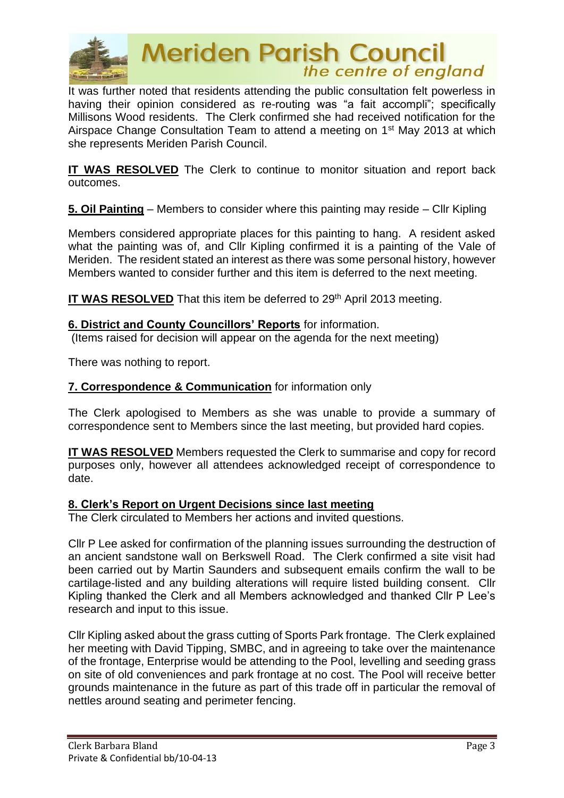

It was further noted that residents attending the public consultation felt powerless in having their opinion considered as re-routing was "a fait accompli"; specifically Millisons Wood residents. The Clerk confirmed she had received notification for the Airspace Change Consultation Team to attend a meeting on 1st May 2013 at which she represents Meriden Parish Council.

**IT WAS RESOLVED** The Clerk to continue to monitor situation and report back outcomes.

**5. Oil Painting** – Members to consider where this painting may reside – Cllr Kipling

Members considered appropriate places for this painting to hang. A resident asked what the painting was of, and Cllr Kipling confirmed it is a painting of the Vale of Meriden. The resident stated an interest as there was some personal history, however Members wanted to consider further and this item is deferred to the next meeting.

**IT WAS RESOLVED** That this item be deferred to 29<sup>th</sup> April 2013 meeting.

#### **6. District and County Councillors' Reports** for information.

(Items raised for decision will appear on the agenda for the next meeting)

There was nothing to report.

#### **7. Correspondence & Communication** for information only

The Clerk apologised to Members as she was unable to provide a summary of correspondence sent to Members since the last meeting, but provided hard copies.

**IT WAS RESOLVED** Members requested the Clerk to summarise and copy for record purposes only, however all attendees acknowledged receipt of correspondence to date.

#### **8. Clerk's Report on Urgent Decisions since last meeting**

The Clerk circulated to Members her actions and invited questions.

Cllr P Lee asked for confirmation of the planning issues surrounding the destruction of an ancient sandstone wall on Berkswell Road. The Clerk confirmed a site visit had been carried out by Martin Saunders and subsequent emails confirm the wall to be cartilage-listed and any building alterations will require listed building consent. Cllr Kipling thanked the Clerk and all Members acknowledged and thanked Cllr P Lee's research and input to this issue.

Cllr Kipling asked about the grass cutting of Sports Park frontage. The Clerk explained her meeting with David Tipping, SMBC, and in agreeing to take over the maintenance of the frontage, Enterprise would be attending to the Pool, levelling and seeding grass on site of old conveniences and park frontage at no cost. The Pool will receive better grounds maintenance in the future as part of this trade off in particular the removal of nettles around seating and perimeter fencing.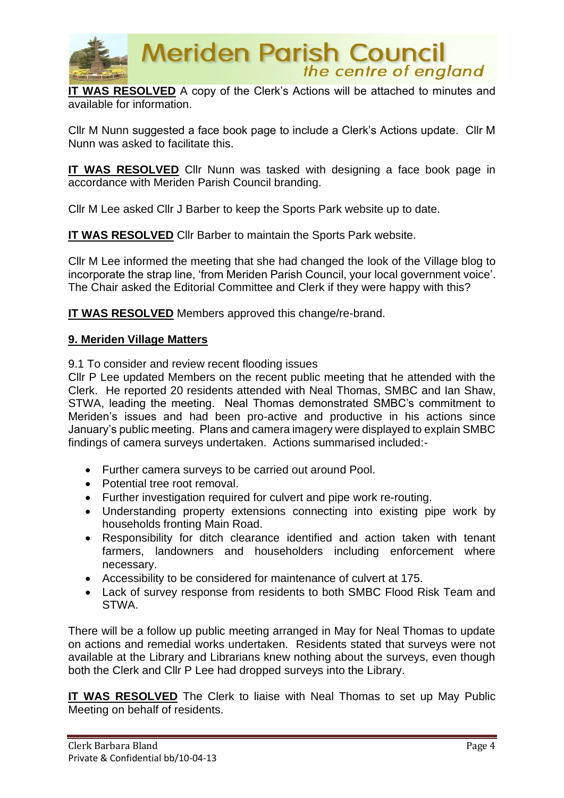

**IT WAS RESOLVED** A copy of the Clerk's Actions will be attached to minutes and available for information.

Cllr M Nunn suggested a face book page to include a Clerk's Actions update. Cllr M Nunn was asked to facilitate this.

**IT WAS RESOLVED** Cllr Nunn was tasked with designing a face book page in accordance with Meriden Parish Council branding.

Cllr M Lee asked Cllr J Barber to keep the Sports Park website up to date.

**IT WAS RESOLVED** Cllr Barber to maintain the Sports Park website.

Cllr M Lee informed the meeting that she had changed the look of the Village blog to incorporate the strap line, 'from Meriden Parish Council, your local government voice'. The Chair asked the Editorial Committee and Clerk if they were happy with this?

**IT WAS RESOLVED** Members approved this change/re-brand.

#### **9. Meriden Village Matters**

9.1 To consider and review recent flooding issues

Cllr P Lee updated Members on the recent public meeting that he attended with the Clerk. He reported 20 residents attended with Neal Thomas, SMBC and Ian Shaw, STWA, leading the meeting. Neal Thomas demonstrated SMBC's commitment to Meriden's issues and had been pro-active and productive in his actions since January's public meeting. Plans and camera imagery were displayed to explain SMBC findings of camera surveys undertaken. Actions summarised included:-

- Further camera surveys to be carried out around Pool.
- Potential tree root removal.
- Further investigation required for culvert and pipe work re-routing.
- Understanding property extensions connecting into existing pipe work by households fronting Main Road.
- Responsibility for ditch clearance identified and action taken with tenant farmers, landowners and householders including enforcement where necessary.
- Accessibility to be considered for maintenance of culvert at 175.
- Lack of survey response from residents to both SMBC Flood Risk Team and STWA.

There will be a follow up public meeting arranged in May for Neal Thomas to update on actions and remedial works undertaken. Residents stated that surveys were not available at the Library and Librarians knew nothing about the surveys, even though both the Clerk and Cllr P Lee had dropped surveys into the Library.

**IT WAS RESOLVED** The Clerk to liaise with Neal Thomas to set up May Public Meeting on behalf of residents.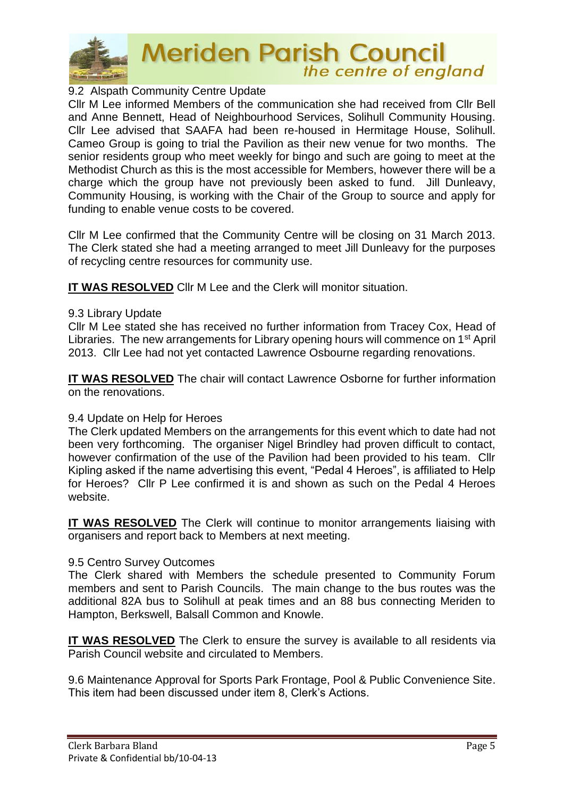

### 9.2 Alspath Community Centre Update

Cllr M Lee informed Members of the communication she had received from Cllr Bell and Anne Bennett, Head of Neighbourhood Services, Solihull Community Housing. Cllr Lee advised that SAAFA had been re-housed in Hermitage House, Solihull. Cameo Group is going to trial the Pavilion as their new venue for two months. The senior residents group who meet weekly for bingo and such are going to meet at the Methodist Church as this is the most accessible for Members, however there will be a charge which the group have not previously been asked to fund. Jill Dunleavy, Community Housing, is working with the Chair of the Group to source and apply for funding to enable venue costs to be covered.

Cllr M Lee confirmed that the Community Centre will be closing on 31 March 2013. The Clerk stated she had a meeting arranged to meet Jill Dunleavy for the purposes of recycling centre resources for community use.

**IT WAS RESOLVED** Cllr M Lee and the Clerk will monitor situation.

#### 9.3 Library Update

Cllr M Lee stated she has received no further information from Tracey Cox, Head of Libraries. The new arrangements for Library opening hours will commence on 1st April 2013. Cllr Lee had not yet contacted Lawrence Osbourne regarding renovations.

**IT WAS RESOLVED** The chair will contact Lawrence Osborne for further information on the renovations.

#### 9.4 Update on Help for Heroes

The Clerk updated Members on the arrangements for this event which to date had not been very forthcoming. The organiser Nigel Brindley had proven difficult to contact, however confirmation of the use of the Pavilion had been provided to his team. Cllr Kipling asked if the name advertising this event, "Pedal 4 Heroes", is affiliated to Help for Heroes? Cllr P Lee confirmed it is and shown as such on the Pedal 4 Heroes website.

**IT WAS RESOLVED** The Clerk will continue to monitor arrangements liaising with organisers and report back to Members at next meeting.

#### 9.5 Centro Survey Outcomes

The Clerk shared with Members the schedule presented to Community Forum members and sent to Parish Councils. The main change to the bus routes was the additional 82A bus to Solihull at peak times and an 88 bus connecting Meriden to Hampton, Berkswell, Balsall Common and Knowle.

**IT WAS RESOLVED** The Clerk to ensure the survey is available to all residents via Parish Council website and circulated to Members.

9.6 Maintenance Approval for Sports Park Frontage, Pool & Public Convenience Site. This item had been discussed under item 8, Clerk's Actions.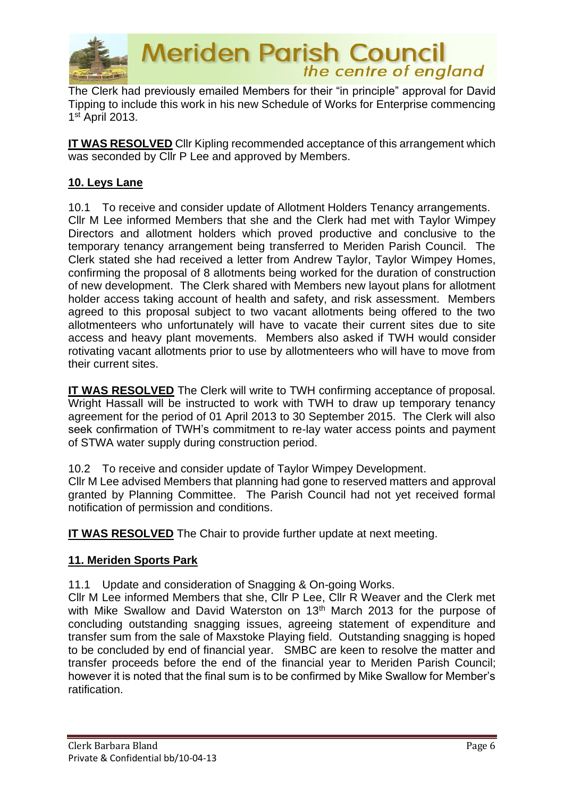

The Clerk had previously emailed Members for their "in principle" approval for David Tipping to include this work in his new Schedule of Works for Enterprise commencing 1 st April 2013.

**IT WAS RESOLVED** Cllr Kipling recommended acceptance of this arrangement which was seconded by Cllr P Lee and approved by Members.

# **10. Leys Lane**

10.1 To receive and consider update of Allotment Holders Tenancy arrangements. Cllr M Lee informed Members that she and the Clerk had met with Taylor Wimpey Directors and allotment holders which proved productive and conclusive to the temporary tenancy arrangement being transferred to Meriden Parish Council. The Clerk stated she had received a letter from Andrew Taylor, Taylor Wimpey Homes, confirming the proposal of 8 allotments being worked for the duration of construction of new development. The Clerk shared with Members new layout plans for allotment holder access taking account of health and safety, and risk assessment. Members agreed to this proposal subject to two vacant allotments being offered to the two allotmenteers who unfortunately will have to vacate their current sites due to site access and heavy plant movements. Members also asked if TWH would consider rotivating vacant allotments prior to use by allotmenteers who will have to move from their current sites.

**IT WAS RESOLVED** The Clerk will write to TWH confirming acceptance of proposal. Wright Hassall will be instructed to work with TWH to draw up temporary tenancy agreement for the period of 01 April 2013 to 30 September 2015. The Clerk will also seek confirmation of TWH's commitment to re-lay water access points and payment of STWA water supply during construction period.

10.2 To receive and consider update of Taylor Wimpey Development.

Cllr M Lee advised Members that planning had gone to reserved matters and approval granted by Planning Committee. The Parish Council had not yet received formal notification of permission and conditions.

**IT WAS RESOLVED** The Chair to provide further update at next meeting.

## **11. Meriden Sports Park**

11.1 Update and consideration of Snagging & On-going Works.

Cllr M Lee informed Members that she, Cllr P Lee, Cllr R Weaver and the Clerk met with Mike Swallow and David Waterston on 13<sup>th</sup> March 2013 for the purpose of concluding outstanding snagging issues, agreeing statement of expenditure and transfer sum from the sale of Maxstoke Playing field. Outstanding snagging is hoped to be concluded by end of financial year. SMBC are keen to resolve the matter and transfer proceeds before the end of the financial year to Meriden Parish Council; however it is noted that the final sum is to be confirmed by Mike Swallow for Member's ratification.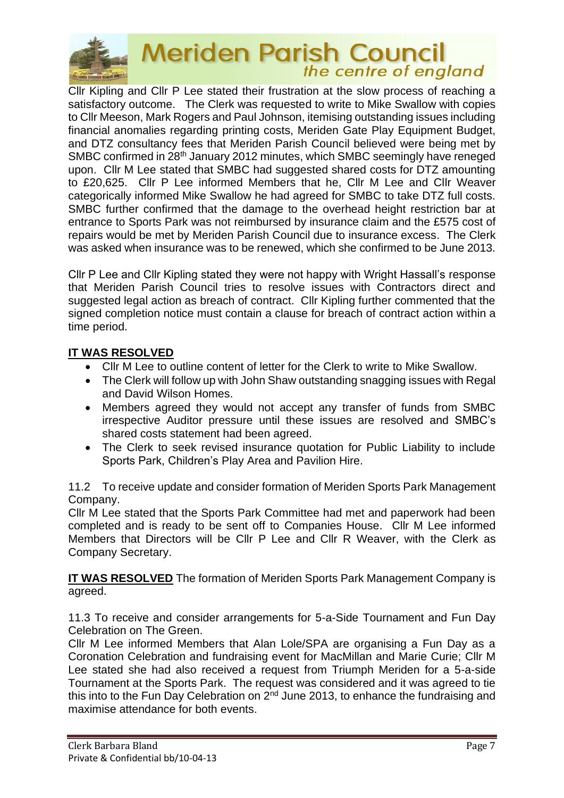

Cllr Kipling and Cllr P Lee stated their frustration at the slow process of reaching a satisfactory outcome. The Clerk was requested to write to Mike Swallow with copies to Cllr Meeson, Mark Rogers and Paul Johnson, itemising outstanding issues including financial anomalies regarding printing costs, Meriden Gate Play Equipment Budget, and DTZ consultancy fees that Meriden Parish Council believed were being met by SMBC confirmed in 28th January 2012 minutes, which SMBC seemingly have reneged upon. Cllr M Lee stated that SMBC had suggested shared costs for DTZ amounting to £20,625. Cllr P Lee informed Members that he, Cllr M Lee and Cllr Weaver categorically informed Mike Swallow he had agreed for SMBC to take DTZ full costs. SMBC further confirmed that the damage to the overhead height restriction bar at entrance to Sports Park was not reimbursed by insurance claim and the £575 cost of repairs would be met by Meriden Parish Council due to insurance excess. The Clerk was asked when insurance was to be renewed, which she confirmed to be June 2013.

Cllr P Lee and Cllr Kipling stated they were not happy with Wright Hassall's response that Meriden Parish Council tries to resolve issues with Contractors direct and suggested legal action as breach of contract. Cllr Kipling further commented that the signed completion notice must contain a clause for breach of contract action within a time period.

# **IT WAS RESOLVED**

- Cllr M Lee to outline content of letter for the Clerk to write to Mike Swallow.
- The Clerk will follow up with John Shaw outstanding snagging issues with Regal and David Wilson Homes.
- Members agreed they would not accept any transfer of funds from SMBC irrespective Auditor pressure until these issues are resolved and SMBC's shared costs statement had been agreed.
- The Clerk to seek revised insurance quotation for Public Liability to include Sports Park, Children's Play Area and Pavilion Hire.

11.2 To receive update and consider formation of Meriden Sports Park Management Company.

Cllr M Lee stated that the Sports Park Committee had met and paperwork had been completed and is ready to be sent off to Companies House. Cllr M Lee informed Members that Directors will be Cllr P Lee and Cllr R Weaver, with the Clerk as Company Secretary.

**IT WAS RESOLVED** The formation of Meriden Sports Park Management Company is agreed.

11.3 To receive and consider arrangements for 5-a-Side Tournament and Fun Day Celebration on The Green.

Cllr M Lee informed Members that Alan Lole/SPA are organising a Fun Day as a Coronation Celebration and fundraising event for MacMillan and Marie Curie; Cllr M Lee stated she had also received a request from Triumph Meriden for a 5-a-side Tournament at the Sports Park. The request was considered and it was agreed to tie this into to the Fun Day Celebration on  $2^{nd}$  June 2013, to enhance the fundraising and maximise attendance for both events.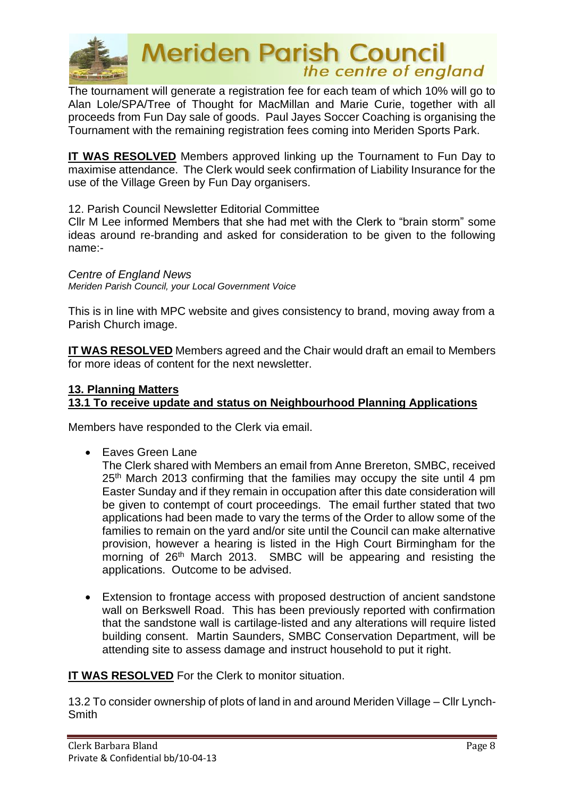

The tournament will generate a registration fee for each team of which 10% will go to Alan Lole/SPA/Tree of Thought for MacMillan and Marie Curie, together with all proceeds from Fun Day sale of goods. Paul Jayes Soccer Coaching is organising the Tournament with the remaining registration fees coming into Meriden Sports Park.

**IT WAS RESOLVED** Members approved linking up the Tournament to Fun Day to maximise attendance. The Clerk would seek confirmation of Liability Insurance for the use of the Village Green by Fun Day organisers.

12. Parish Council Newsletter Editorial Committee

Cllr M Lee informed Members that she had met with the Clerk to "brain storm" some ideas around re-branding and asked for consideration to be given to the following name:-

*Centre of England News*

*Meriden Parish Council, your Local Government Voice*

This is in line with MPC website and gives consistency to brand, moving away from a Parish Church image.

**IT WAS RESOLVED** Members agreed and the Chair would draft an email to Members for more ideas of content for the next newsletter.

### **13. Planning Matters 13.1 To receive update and status on Neighbourhood Planning Applications**

Members have responded to the Clerk via email.

• Faves Green Lane

The Clerk shared with Members an email from Anne Brereton, SMBC, received 25<sup>th</sup> March 2013 confirming that the families may occupy the site until 4 pm Easter Sunday and if they remain in occupation after this date consideration will be given to contempt of court proceedings. The email further stated that two applications had been made to vary the terms of the Order to allow some of the families to remain on the yard and/or site until the Council can make alternative provision, however a hearing is listed in the High Court Birmingham for the morning of 26<sup>th</sup> March 2013. SMBC will be appearing and resisting the applications. Outcome to be advised.

• Extension to frontage access with proposed destruction of ancient sandstone wall on Berkswell Road. This has been previously reported with confirmation that the sandstone wall is cartilage-listed and any alterations will require listed building consent. Martin Saunders, SMBC Conservation Department, will be attending site to assess damage and instruct household to put it right.

**IT WAS RESOLVED** For the Clerk to monitor situation.

13.2 To consider ownership of plots of land in and around Meriden Village – Cllr Lynch-**Smith**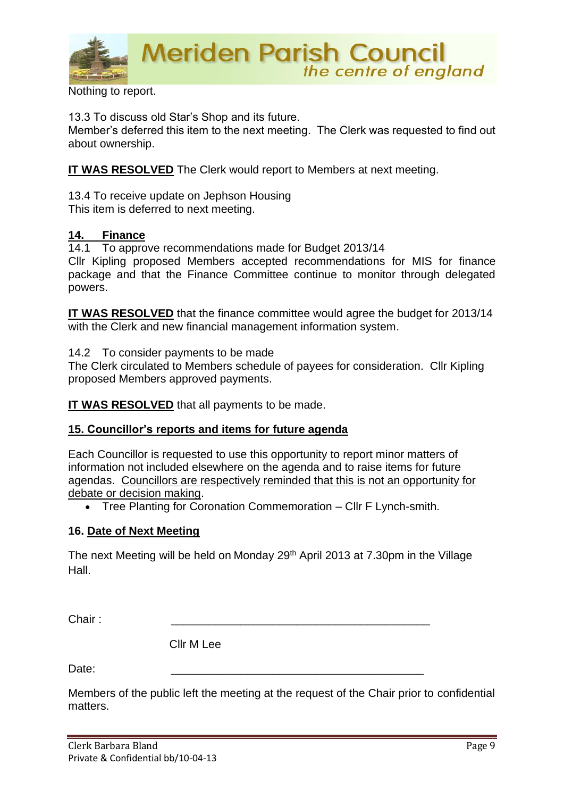

Nothing to report.

13.3 To discuss old Star's Shop and its future.

Member's deferred this item to the next meeting. The Clerk was requested to find out about ownership.

**IT WAS RESOLVED** The Clerk would report to Members at next meeting.

13.4 To receive update on Jephson Housing This item is deferred to next meeting.

#### **14. Finance**

14.1 To approve recommendations made for Budget 2013/14

Cllr Kipling proposed Members accepted recommendations for MIS for finance package and that the Finance Committee continue to monitor through delegated powers.

**IT WAS RESOLVED** that the finance committee would agree the budget for 2013/14 with the Clerk and new financial management information system.

14.2 To consider payments to be made

The Clerk circulated to Members schedule of payees for consideration. Cllr Kipling proposed Members approved payments.

**IT WAS RESOLVED** that all payments to be made.

#### **15. Councillor's reports and items for future agenda**

Each Councillor is requested to use this opportunity to report minor matters of information not included elsewhere on the agenda and to raise items for future agendas. Councillors are respectively reminded that this is not an opportunity for debate or decision making.

• Tree Planting for Coronation Commemoration – Cllr F Lynch-smith.

#### **16. Date of Next Meeting**

The next Meeting will be held on Monday 29<sup>th</sup> April 2013 at 7.30pm in the Village Hall.

Chair : \_\_\_\_\_\_\_\_\_\_\_\_\_\_\_\_\_\_\_\_\_\_\_\_\_\_\_\_\_\_\_\_\_\_\_\_\_\_\_\_\_

Cllr M Lee

Date: \_\_\_\_\_\_\_\_\_\_\_\_\_\_\_\_\_\_\_\_\_\_\_\_\_\_\_\_\_\_\_\_\_\_\_\_\_\_\_\_

Members of the public left the meeting at the request of the Chair prior to confidential matters.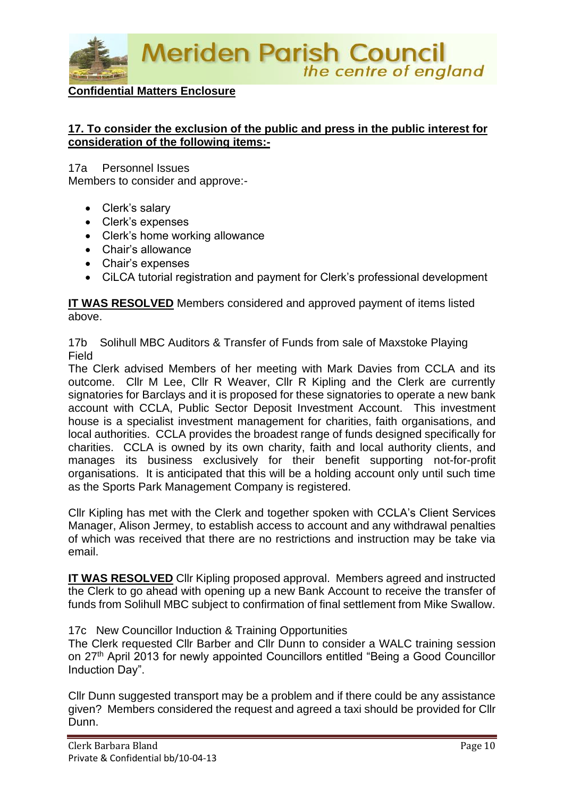

#### **Confidential Matters Enclosure**

#### **17. To consider the exclusion of the public and press in the public interest for consideration of the following items:-**

17a Personnel Issues

Members to consider and approve:-

- Clerk's salary
- Clerk's expenses
- Clerk's home working allowance
- Chair's allowance
- Chair's expenses
- CiLCA tutorial registration and payment for Clerk's professional development

**IT WAS RESOLVED** Members considered and approved payment of items listed above.

17b Solihull MBC Auditors & Transfer of Funds from sale of Maxstoke Playing Field

The Clerk advised Members of her meeting with Mark Davies from CCLA and its outcome. Cllr M Lee, Cllr R Weaver, Cllr R Kipling and the Clerk are currently signatories for Barclays and it is proposed for these signatories to operate a new bank account with CCLA, Public Sector Deposit Investment Account. This investment house is a specialist investment management for charities, faith organisations, and local authorities. CCLA provides the broadest range of funds designed specifically for charities. CCLA is owned by its own charity, faith and local authority clients, and manages its business exclusively for their benefit supporting not-for-profit organisations. It is anticipated that this will be a holding account only until such time as the Sports Park Management Company is registered.

Cllr Kipling has met with the Clerk and together spoken with CCLA's Client Services Manager, Alison Jermey, to establish access to account and any withdrawal penalties of which was received that there are no restrictions and instruction may be take via email.

**IT WAS RESOLVED** Cllr Kipling proposed approval. Members agreed and instructed the Clerk to go ahead with opening up a new Bank Account to receive the transfer of funds from Solihull MBC subject to confirmation of final settlement from Mike Swallow.

17c New Councillor Induction & Training Opportunities

The Clerk requested Cllr Barber and Cllr Dunn to consider a WALC training session on 27th April 2013 for newly appointed Councillors entitled "Being a Good Councillor Induction Day".

Cllr Dunn suggested transport may be a problem and if there could be any assistance given? Members considered the request and agreed a taxi should be provided for Cllr Dunn.